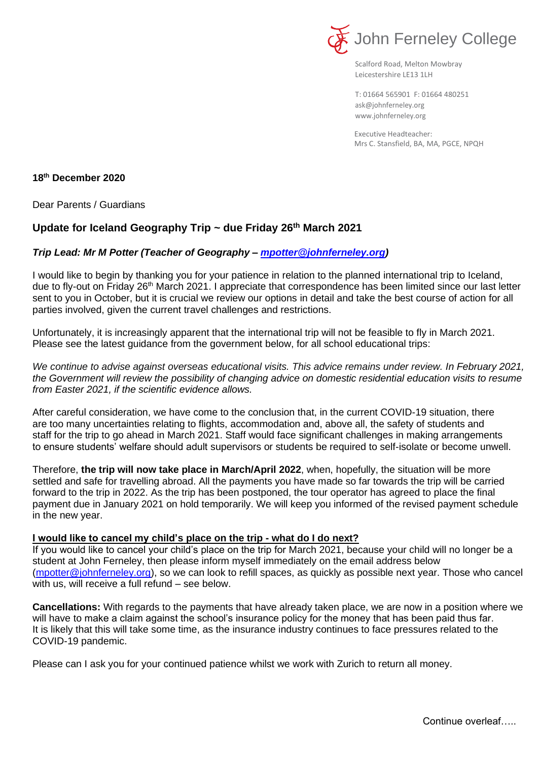

Scalford Road, Melton Mowbray Leicestershire LE13 1LH

[ask@johnferneley.org](mailto:ask@johnferneley.org) [www.johnferneley.org](http://www.johnferneley.org/) T: 01664 565901 F: 01664 480251

Executive Headteacher: Mrs C. Stansfield, BA, MA, PGCE, NPQH

## **18 th December 2020**

Dear Parents / Guardians

## **Update for Iceland Geography Trip ~ due Friday 26th March 2021**

## *Trip Lead: Mr M Potter (Teacher of Geography – [mpotter@johnferneley.org\)](mailto:mpotter@johnferneley.org)*

I would like to begin by thanking you for your patience in relation to the planned international trip to Iceland, due to fly-out on Friday 26<sup>th</sup> March 2021. I appreciate that correspondence has been limited since our last letter sent to you in October, but it is crucial we review our options in detail and take the best course of action for all parties involved, given the current travel challenges and restrictions.

Unfortunately, it is increasingly apparent that the international trip will not be feasible to fly in March 2021. Please see the latest guidance from the government below, for all school educational trips:

*We continue to advise against overseas educational visits. This advice remains under review. In February 2021, the Government will review the possibility of changing advice on domestic residential education visits to resume from Easter 2021, if the scientific evidence allows.* 

After careful consideration, we have come to the conclusion that, in the current COVID-19 situation, there are too many uncertainties relating to flights, accommodation and, above all, the safety of students and staff for the trip to go ahead in March 2021. Staff would face significant challenges in making arrangements to ensure students' welfare should adult supervisors or students be required to self-isolate or become unwell.

Therefore, **the trip will now take place in March/April 2022**, when, hopefully, the situation will be more settled and safe for travelling abroad. All the payments you have made so far towards the trip will be carried forward to the trip in 2022. As the trip has been postponed, the tour operator has agreed to place the final payment due in January 2021 on hold temporarily. We will keep you informed of the revised payment schedule in the new year.

## **I would like to cancel my child's place on the trip - what do I do next?**

If you would like to cancel your child's place on the trip for March 2021, because your child will no longer be a student at John Ferneley, then please inform myself immediately on the email address below [\(mpotter@johnferneley.org\)](mailto:mpotter@johnferneley.org), so we can look to refill spaces, as quickly as possible next year. Those who cancel with us, will receive a full refund – see below.

**Cancellations:** With regards to the payments that have already taken place, we are now in a position where we will have to make a claim against the school's insurance policy for the money that has been paid thus far. It is likely that this will take some time, as the insurance industry continues to face pressures related to the COVID-19 pandemic.

Please can I ask you for your continued patience whilst we work with Zurich to return all money.